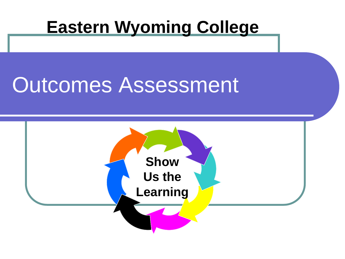#### **Eastern Wyoming College**

# Outcomes Assessment

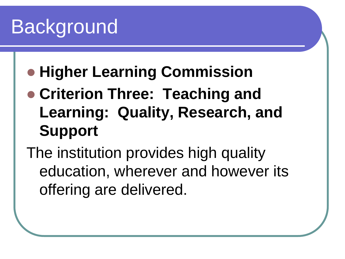## Background

- **Higher Learning Commission**
- **Criterion Three: Teaching and Learning: Quality, Research, and Support**
- The institution provides high quality education, wherever and however its offering are delivered.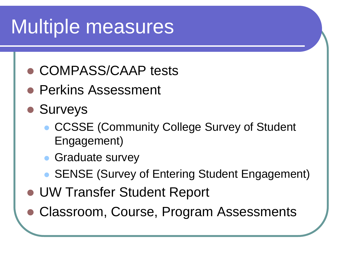## Multiple measures

- COMPASS/CAAP tests
- **Perkins Assessment**
- Surveys
	- CCSSE (Community College Survey of Student Engagement)
	- **Graduate survey**
	- SENSE (Survey of Entering Student Engagement)
- UW Transfer Student Report
- Classroom, Course, Program Assessments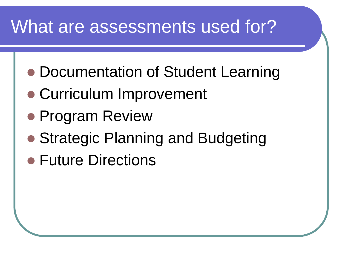#### What are assessments used for?

- Documentation of Student Learning
- Curriculum Improvement
- **Program Review**
- Strategic Planning and Budgeting
- **Future Directions**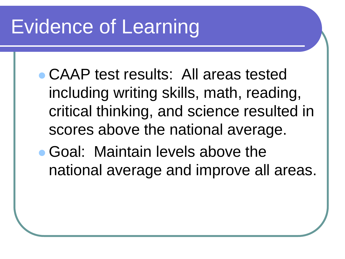## Evidence of Learning

- CAAP test results: All areas tested including writing skills, math, reading, critical thinking, and science resulted in scores above the national average.
- Goal: Maintain levels above the national average and improve all areas.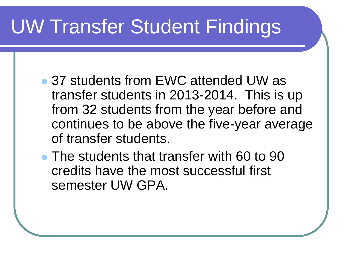## UW Transfer Student Findings

- 37 students from EWC attended UW as transfer students in 2013-2014. This is up from 32 students from the year before and continues to be above the five-year average of transfer students.
- The students that transfer with 60 to 90 credits have the most successful first semester UW GPA.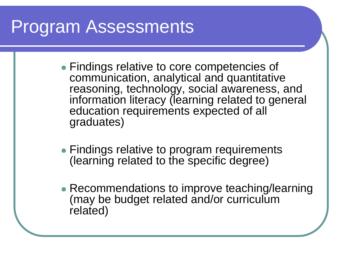#### Program Assessments

- Findings relative to core competencies of communication, analytical and quantitative reasoning, technology, social awareness, and information literacy (learning related to general education requirements expected of all graduates)
- Findings relative to program requirements (learning related to the specific degree)
- Recommendations to improve teaching/learning (may be budget related and/or curriculum related)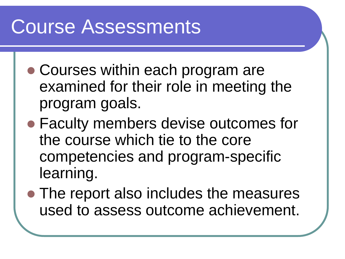### Course Assessments

- Courses within each program are examined for their role in meeting the program goals.
- Faculty members devise outcomes for the course which tie to the core competencies and program-specific learning.
- The report also includes the measures used to assess outcome achievement.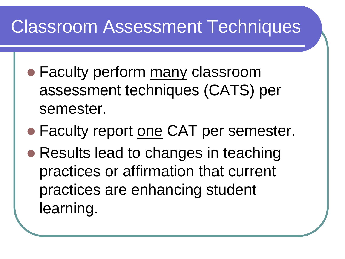#### Classroom Assessment Techniques

- Faculty perform many classroom assessment techniques (CATS) per semester.
- Faculty report one CAT per semester.
- Results lead to changes in teaching practices or affirmation that current practices are enhancing student learning.